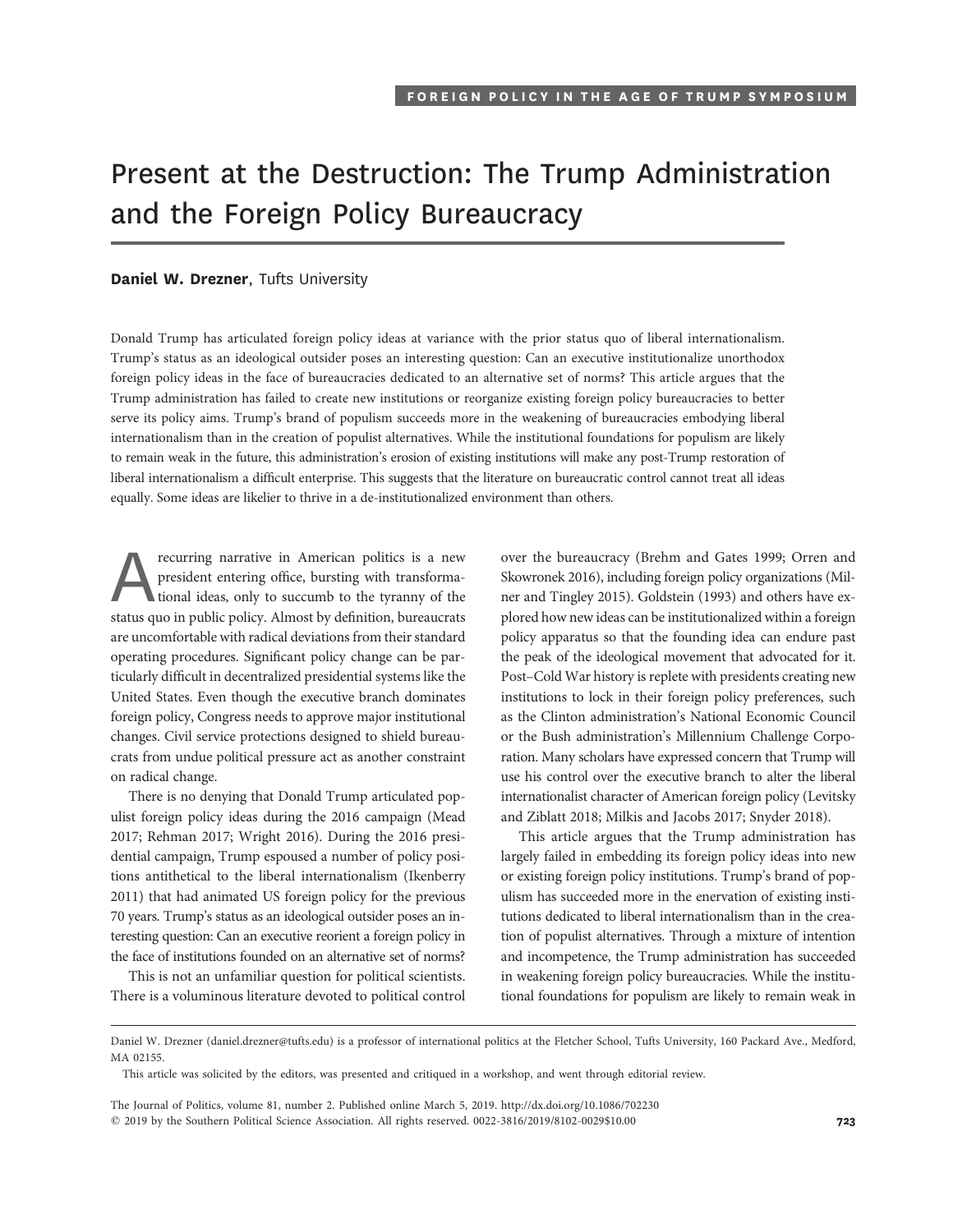# Present at the Destruction: The Trump Administration and the Foreign Policy Bureaucracy

### Daniel W. Drezner, Tufts University

Donald Trump has articulated foreign policy ideas at variance with the prior status quo of liberal internationalism. Trump's status as an ideological outsider poses an interesting question: Can an executive institutionalize unorthodox foreign policy ideas in the face of bureaucracies dedicated to an alternative set of norms? This article argues that the Trump administration has failed to create new institutions or reorganize existing foreign policy bureaucracies to better serve its policy aims. Trump's brand of populism succeeds more in the weakening of bureaucracies embodying liberal internationalism than in the creation of populist alternatives. While the institutional foundations for populism are likely to remain weak in the future, this administration's erosion of existing institutions will make any post-Trump restoration of liberal internationalism a difficult enterprise. This suggests that the literature on bureaucratic control cannot treat all ideas equally. Some ideas are likelier to thrive in a de-institutionalized environment than others.

**ARR** recurring narrative in American politics is a new president entering office, bursting with transformational ideas, only to succumb to the tyranny of the status quo in public policy. Almost by definition, bureaucrats president entering office, bursting with transformational ideas, only to succumb to the tyranny of the are uncomfortable with radical deviations from their standard operating procedures. Significant policy change can be particularly difficult in decentralized presidential systems like the United States. Even though the executive branch dominates foreign policy, Congress needs to approve major institutional changes. Civil service protections designed to shield bureaucrats from undue political pressure act as another constraint on radical change.

There is no denying that Donald Trump articulated populist foreign policy ideas during the 2016 campaign (Mead 2017; Rehman 2017; Wright 2016). During the 2016 presidential campaign, Trump espoused a number of policy positions antithetical to the liberal internationalism (Ikenberry 2011) that had animated US foreign policy for the previous 70 years. Trump's status as an ideological outsider poses an interesting question: Can an executive reorient a foreign policy in the face of institutions founded on an alternative set of norms?

This is not an unfamiliar question for political scientists. There is a voluminous literature devoted to political control over the bureaucracy (Brehm and Gates 1999; Orren and Skowronek 2016), including foreign policy organizations (Milner and Tingley 2015). Goldstein (1993) and others have explored how new ideas can be institutionalized within a foreign policy apparatus so that the founding idea can endure past the peak of the ideological movement that advocated for it. Post–Cold War history is replete with presidents creating new institutions to lock in their foreign policy preferences, such as the Clinton administration's National Economic Council or the Bush administration's Millennium Challenge Corporation. Many scholars have expressed concern that Trump will use his control over the executive branch to alter the liberal internationalist character of American foreign policy (Levitsky and Ziblatt 2018; Milkis and Jacobs 2017; Snyder 2018).

This article argues that the Trump administration has largely failed in embedding its foreign policy ideas into new or existing foreign policy institutions. Trump's brand of populism has succeeded more in the enervation of existing institutions dedicated to liberal internationalism than in the creation of populist alternatives. Through a mixture of intention and incompetence, the Trump administration has succeeded in weakening foreign policy bureaucracies. While the institutional foundations for populism are likely to remain weak in

The Journal of Politics, volume 81, number 2. Published online March 5, 2019. http://dx.doi.org/10.1086/702230  $@$  2019 by the Southern Political Science Association. All rights reserved. 0022-3816/2019/8102-0029\$10.00  $723$ 

Daniel W. Drezner (daniel.drezner@tufts.edu) is a professor of international politics at the Fletcher School, Tufts University, 160 Packard Ave., Medford, MA 02155.

This article was solicited by the editors, was presented and critiqued in a workshop, and went through editorial review.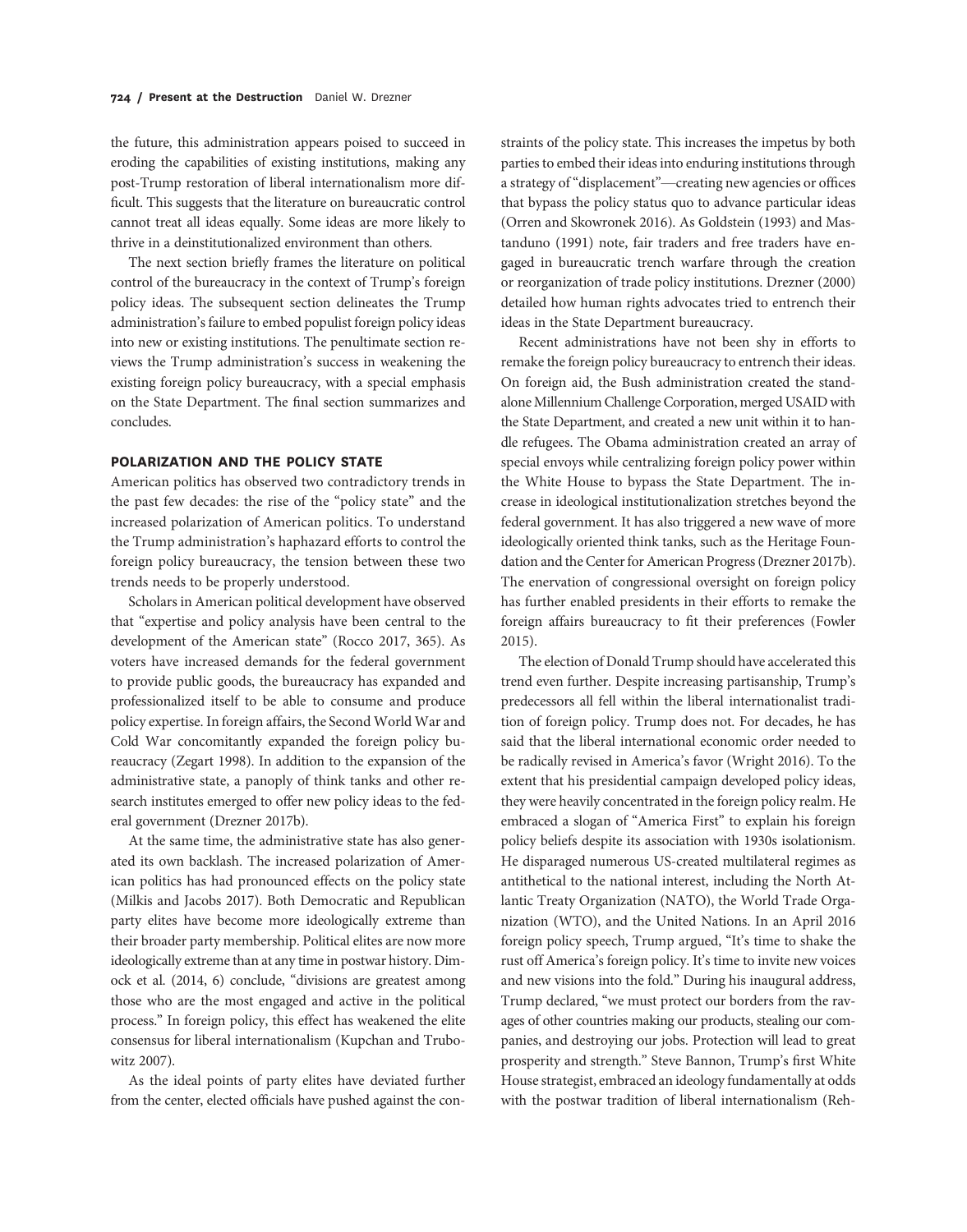the future, this administration appears poised to succeed in eroding the capabilities of existing institutions, making any post-Trump restoration of liberal internationalism more difficult. This suggests that the literature on bureaucratic control cannot treat all ideas equally. Some ideas are more likely to thrive in a deinstitutionalized environment than others.

The next section briefly frames the literature on political control of the bureaucracy in the context of Trump's foreign policy ideas. The subsequent section delineates the Trump administration's failure to embed populist foreign policy ideas into new or existing institutions. The penultimate section reviews the Trump administration's success in weakening the existing foreign policy bureaucracy, with a special emphasis on the State Department. The final section summarizes and concludes.

#### POLARIZATION AND THE POLICY STATE

American politics has observed two contradictory trends in the past few decades: the rise of the "policy state" and the increased polarization of American politics. To understand the Trump administration's haphazard efforts to control the foreign policy bureaucracy, the tension between these two trends needs to be properly understood.

Scholars in American political development have observed that "expertise and policy analysis have been central to the development of the American state" (Rocco 2017, 365). As voters have increased demands for the federal government to provide public goods, the bureaucracy has expanded and professionalized itself to be able to consume and produce policy expertise. In foreign affairs, the Second World War and Cold War concomitantly expanded the foreign policy bureaucracy (Zegart 1998). In addition to the expansion of the administrative state, a panoply of think tanks and other research institutes emerged to offer new policy ideas to the federal government (Drezner 2017b).

At the same time, the administrative state has also generated its own backlash. The increased polarization of American politics has had pronounced effects on the policy state (Milkis and Jacobs 2017). Both Democratic and Republican party elites have become more ideologically extreme than their broader party membership. Political elites are now more ideologically extreme than at any time in postwar history. Dimock et al. (2014, 6) conclude, "divisions are greatest among those who are the most engaged and active in the political process." In foreign policy, this effect has weakened the elite consensus for liberal internationalism (Kupchan and Trubowitz 2007).

As the ideal points of party elites have deviated further from the center, elected officials have pushed against the con-

straints of the policy state. This increases the impetus by both parties to embed their ideas into enduring institutions through a strategy of"displacement"—creating new agencies or offices that bypass the policy status quo to advance particular ideas (Orren and Skowronek 2016). As Goldstein (1993) and Mastanduno (1991) note, fair traders and free traders have engaged in bureaucratic trench warfare through the creation or reorganization of trade policy institutions. Drezner (2000) detailed how human rights advocates tried to entrench their ideas in the State Department bureaucracy.

Recent administrations have not been shy in efforts to remake the foreign policy bureaucracy to entrench their ideas. On foreign aid, the Bush administration created the standalone Millennium Challenge Corporation, merged USAID with the State Department, and created a new unit within it to handle refugees. The Obama administration created an array of special envoys while centralizing foreign policy power within the White House to bypass the State Department. The increase in ideological institutionalization stretches beyond the federal government. It has also triggered a new wave of more ideologically oriented think tanks, such as the Heritage Foundation and the Center for American Progress (Drezner 2017b). The enervation of congressional oversight on foreign policy has further enabled presidents in their efforts to remake the foreign affairs bureaucracy to fit their preferences (Fowler 2015).

The election of Donald Trump should have accelerated this trend even further. Despite increasing partisanship, Trump's predecessors all fell within the liberal internationalist tradition of foreign policy. Trump does not. For decades, he has said that the liberal international economic order needed to be radically revised in America's favor (Wright 2016). To the extent that his presidential campaign developed policy ideas, they were heavily concentrated in the foreign policy realm. He embraced a slogan of "America First" to explain his foreign policy beliefs despite its association with 1930s isolationism. He disparaged numerous US-created multilateral regimes as antithetical to the national interest, including the North Atlantic Treaty Organization (NATO), the World Trade Organization (WTO), and the United Nations. In an April 2016 foreign policy speech, Trump argued, "It's time to shake the rust off America's foreign policy. It's time to invite new voices and new visions into the fold." During his inaugural address, Trump declared, "we must protect our borders from the ravages of other countries making our products, stealing our companies, and destroying our jobs. Protection will lead to great prosperity and strength." Steve Bannon, Trump's first White House strategist, embraced an ideology fundamentally at odds with the postwar tradition of liberal internationalism (Reh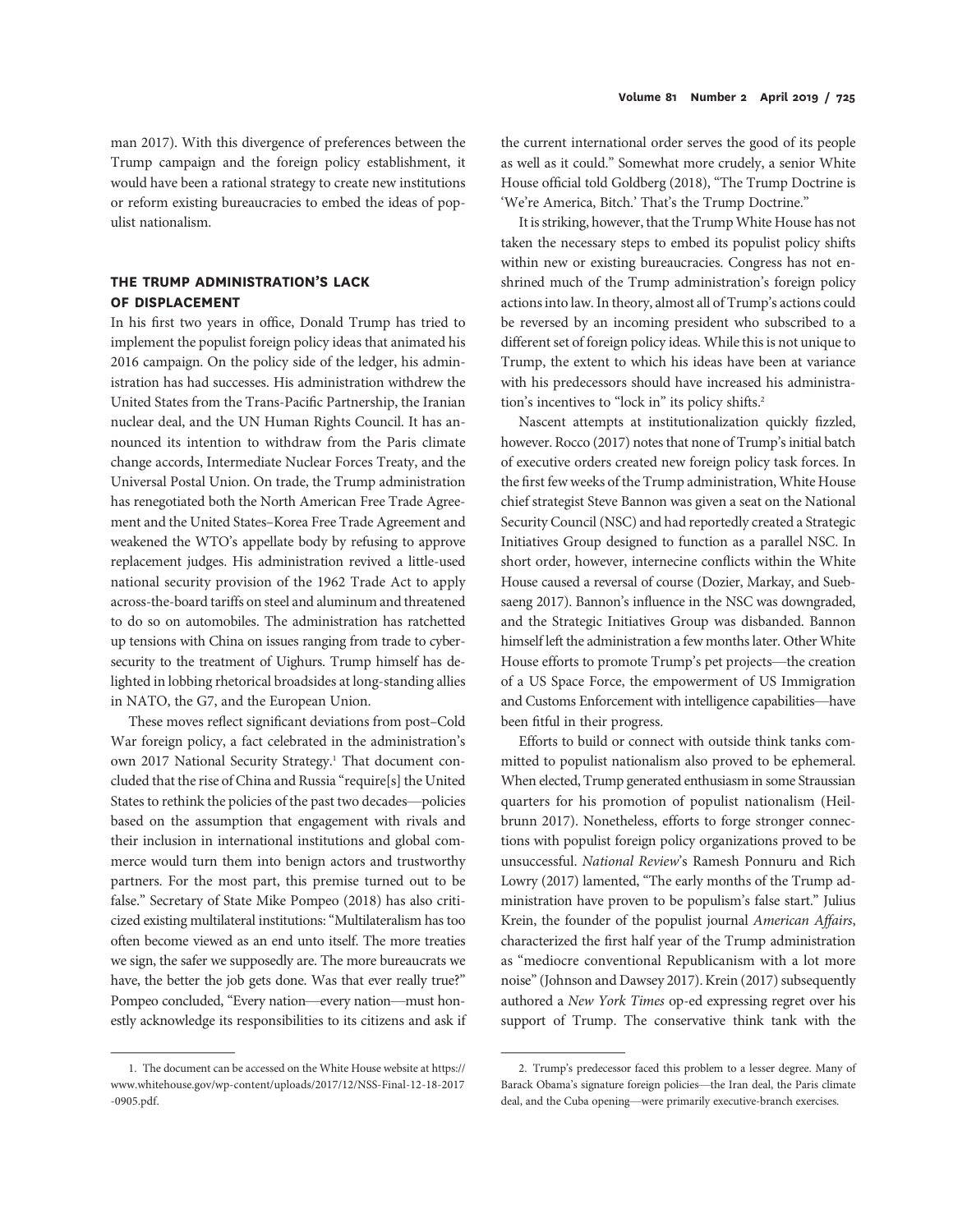man 2017). With this divergence of preferences between the Trump campaign and the foreign policy establishment, it would have been a rational strategy to create new institutions or reform existing bureaucracies to embed the ideas of populist nationalism.

## THE TRUMP ADMINISTRATION'S LACK OF DISPLACEMENT

In his first two years in office, Donald Trump has tried to implement the populist foreign policy ideas that animated his 2016 campaign. On the policy side of the ledger, his administration has had successes. His administration withdrew the United States from the Trans-Pacific Partnership, the Iranian nuclear deal, and the UN Human Rights Council. It has announced its intention to withdraw from the Paris climate change accords, Intermediate Nuclear Forces Treaty, and the Universal Postal Union. On trade, the Trump administration has renegotiated both the North American Free Trade Agreement and the United States–Korea Free Trade Agreement and weakened the WTO's appellate body by refusing to approve replacement judges. His administration revived a little-used national security provision of the 1962 Trade Act to apply across-the-board tariffs on steel and aluminum and threatened to do so on automobiles. The administration has ratchetted up tensions with China on issues ranging from trade to cybersecurity to the treatment of Uighurs. Trump himself has delighted in lobbing rhetorical broadsides at long-standing allies in NATO, the G7, and the European Union.

These moves reflect significant deviations from post–Cold War foreign policy, a fact celebrated in the administration's own 2017 National Security Strategy.<sup>1</sup> That document concluded that the rise of China and Russia "require[s] the United States to rethink the policies of the past two decades—policies based on the assumption that engagement with rivals and their inclusion in international institutions and global commerce would turn them into benign actors and trustworthy partners. For the most part, this premise turned out to be false." Secretary of State Mike Pompeo (2018) has also criticized existing multilateral institutions:"Multilateralism has too often become viewed as an end unto itself. The more treaties we sign, the safer we supposedly are. The more bureaucrats we have, the better the job gets done. Was that ever really true?" Pompeo concluded, "Every nation—every nation—must honestly acknowledge its responsibilities to its citizens and ask if

1. The document can be accessed on the White House website at https:// www.whitehouse.gov/wp-content/uploads/2017/12/NSS-Final-12-18-2017 -0905.pdf.

the current international order serves the good of its people as well as it could." Somewhat more crudely, a senior White House official told Goldberg (2018), "The Trump Doctrine is 'We're America, Bitch.' That's the Trump Doctrine."

It is striking, however, that the TrumpWhite House has not taken the necessary steps to embed its populist policy shifts within new or existing bureaucracies. Congress has not enshrined much of the Trump administration's foreign policy actions into law. In theory, almost all of Trump's actions could be reversed by an incoming president who subscribed to a different set of foreign policy ideas. While this is not unique to Trump, the extent to which his ideas have been at variance with his predecessors should have increased his administration's incentives to "lock in" its policy shifts.<sup>2</sup>

Nascent attempts at institutionalization quickly fizzled, however. Rocco (2017) notes that none of Trump's initial batch of executive orders created new foreign policy task forces. In the first few weeks of the Trump administration, White House chief strategist Steve Bannon was given a seat on the National Security Council (NSC) and had reportedly created a Strategic Initiatives Group designed to function as a parallel NSC. In short order, however, internecine conflicts within the White House caused a reversal of course (Dozier, Markay, and Suebsaeng 2017). Bannon's influence in the NSC was downgraded, and the Strategic Initiatives Group was disbanded. Bannon himself left the administration a few months later. Other White House efforts to promote Trump's pet projects—the creation of a US Space Force, the empowerment of US Immigration and Customs Enforcement with intelligence capabilities—have been fitful in their progress.

Efforts to build or connect with outside think tanks committed to populist nationalism also proved to be ephemeral. When elected, Trump generated enthusiasm in some Straussian quarters for his promotion of populist nationalism (Heilbrunn 2017). Nonetheless, efforts to forge stronger connections with populist foreign policy organizations proved to be unsuccessful. National Review's Ramesh Ponnuru and Rich Lowry (2017) lamented, "The early months of the Trump administration have proven to be populism's false start." Julius Krein, the founder of the populist journal American Affairs, characterized the first half year of the Trump administration as "mediocre conventional Republicanism with a lot more noise"(Johnson and Dawsey 2017). Krein (2017) subsequently authored a New York Times op-ed expressing regret over his support of Trump. The conservative think tank with the

<sup>2.</sup> Trump's predecessor faced this problem to a lesser degree. Many of Barack Obama's signature foreign policies—the Iran deal, the Paris climate deal, and the Cuba opening—were primarily executive-branch exercises.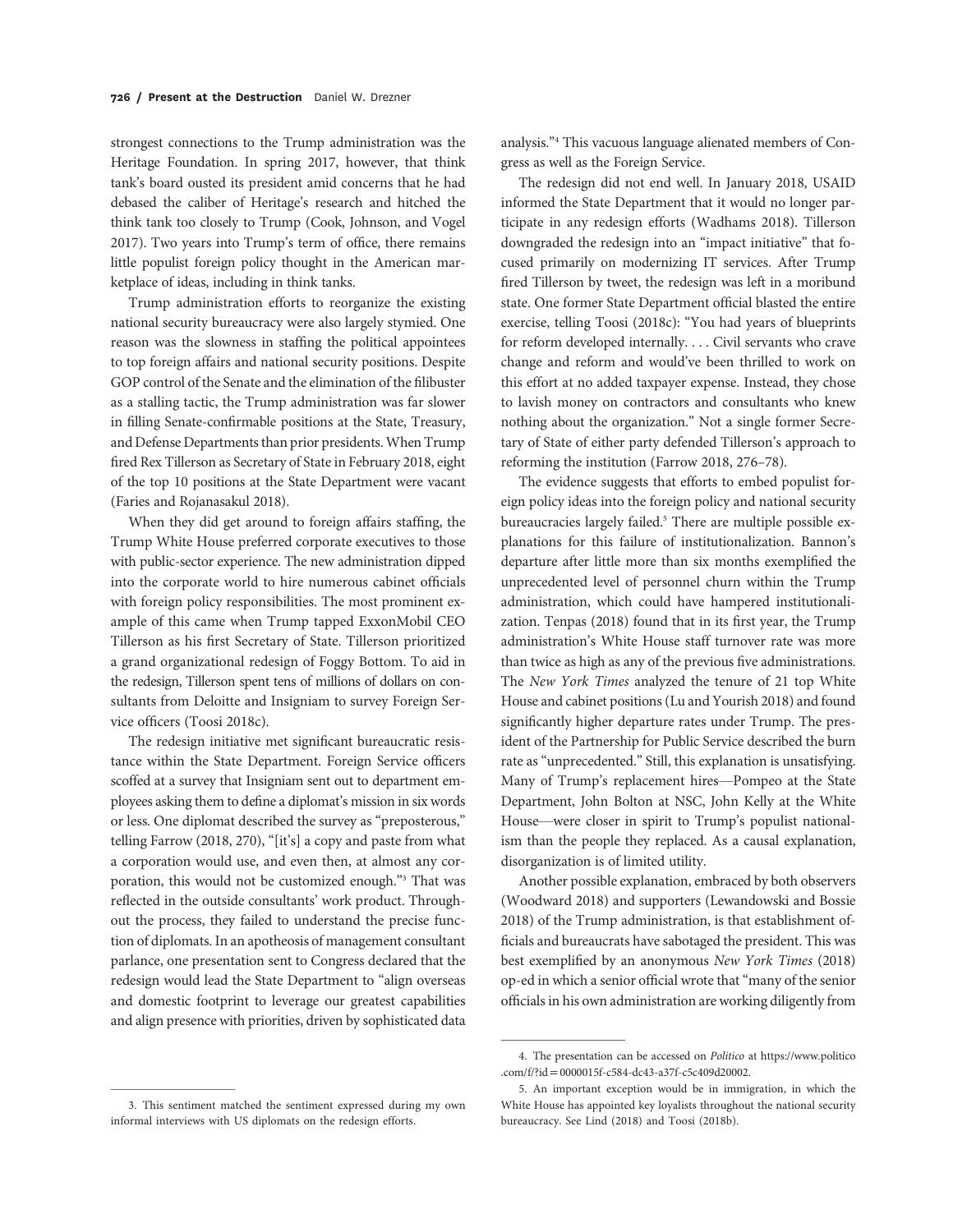strongest connections to the Trump administration was the Heritage Foundation. In spring 2017, however, that think tank's board ousted its president amid concerns that he had debased the caliber of Heritage's research and hitched the think tank too closely to Trump (Cook, Johnson, and Vogel 2017). Two years into Trump's term of office, there remains little populist foreign policy thought in the American marketplace of ideas, including in think tanks.

Trump administration efforts to reorganize the existing national security bureaucracy were also largely stymied. One reason was the slowness in staffing the political appointees to top foreign affairs and national security positions. Despite GOP control of the Senate and the elimination of the filibuster as a stalling tactic, the Trump administration was far slower in filling Senate-confirmable positions at the State, Treasury, and Defense Departments than prior presidents.When Trump fired Rex Tillerson as Secretary of State in February 2018, eight of the top 10 positions at the State Department were vacant (Faries and Rojanasakul 2018).

When they did get around to foreign affairs staffing, the Trump White House preferred corporate executives to those with public-sector experience. The new administration dipped into the corporate world to hire numerous cabinet officials with foreign policy responsibilities. The most prominent example of this came when Trump tapped ExxonMobil CEO Tillerson as his first Secretary of State. Tillerson prioritized a grand organizational redesign of Foggy Bottom. To aid in the redesign, Tillerson spent tens of millions of dollars on consultants from Deloitte and Insigniam to survey Foreign Service officers (Toosi 2018c).

The redesign initiative met significant bureaucratic resistance within the State Department. Foreign Service officers scoffed at a survey that Insigniam sent out to department employees asking them to define a diplomat's mission in six words or less. One diplomat described the survey as "preposterous," telling Farrow (2018, 270), "[it's] a copy and paste from what a corporation would use, and even then, at almost any corporation, this would not be customized enough."<sup>3</sup> That was reflected in the outside consultants' work product. Throughout the process, they failed to understand the precise function of diplomats. In an apotheosis of management consultant parlance, one presentation sent to Congress declared that the redesign would lead the State Department to "align overseas and domestic footprint to leverage our greatest capabilities and align presence with priorities, driven by sophisticated data

analysis."<sup>4</sup> This vacuous language alienated members of Congress as well as the Foreign Service.

The redesign did not end well. In January 2018, USAID informed the State Department that it would no longer participate in any redesign efforts (Wadhams 2018). Tillerson downgraded the redesign into an "impact initiative" that focused primarily on modernizing IT services. After Trump fired Tillerson by tweet, the redesign was left in a moribund state. One former State Department official blasted the entire exercise, telling Toosi (2018c): "You had years of blueprints for reform developed internally. . . . Civil servants who crave change and reform and would've been thrilled to work on this effort at no added taxpayer expense. Instead, they chose to lavish money on contractors and consultants who knew nothing about the organization." Not a single former Secretary of State of either party defended Tillerson's approach to reforming the institution (Farrow 2018, 276–78).

The evidence suggests that efforts to embed populist foreign policy ideas into the foreign policy and national security bureaucracies largely failed.<sup>5</sup> There are multiple possible explanations for this failure of institutionalization. Bannon's departure after little more than six months exemplified the unprecedented level of personnel churn within the Trump administration, which could have hampered institutionalization. Tenpas (2018) found that in its first year, the Trump administration's White House staff turnover rate was more than twice as high as any of the previous five administrations. The New York Times analyzed the tenure of 21 top White House and cabinet positions (Lu and Yourish 2018) and found significantly higher departure rates under Trump. The president of the Partnership for Public Service described the burn rate as "unprecedented." Still, this explanation is unsatisfying. Many of Trump's replacement hires—Pompeo at the State Department, John Bolton at NSC, John Kelly at the White House—were closer in spirit to Trump's populist nationalism than the people they replaced. As a causal explanation, disorganization is of limited utility.

Another possible explanation, embraced by both observers (Woodward 2018) and supporters (Lewandowski and Bossie 2018) of the Trump administration, is that establishment officials and bureaucrats have sabotaged the president. This was best exemplified by an anonymous New York Times (2018) op-ed in which a senior official wrote that"many of the senior officials in his own administration are working diligently from

<sup>4.</sup> The presentation can be accessed on Politico at https://www.politico .com/f/?id = 0000015f-c584-dc43-a37f-c5c409d20002.

<sup>3.</sup> This sentiment matched the sentiment expressed during my own informal interviews with US diplomats on the redesign efforts.

<sup>5.</sup> An important exception would be in immigration, in which the White House has appointed key loyalists throughout the national security bureaucracy. See Lind (2018) and Toosi (2018b).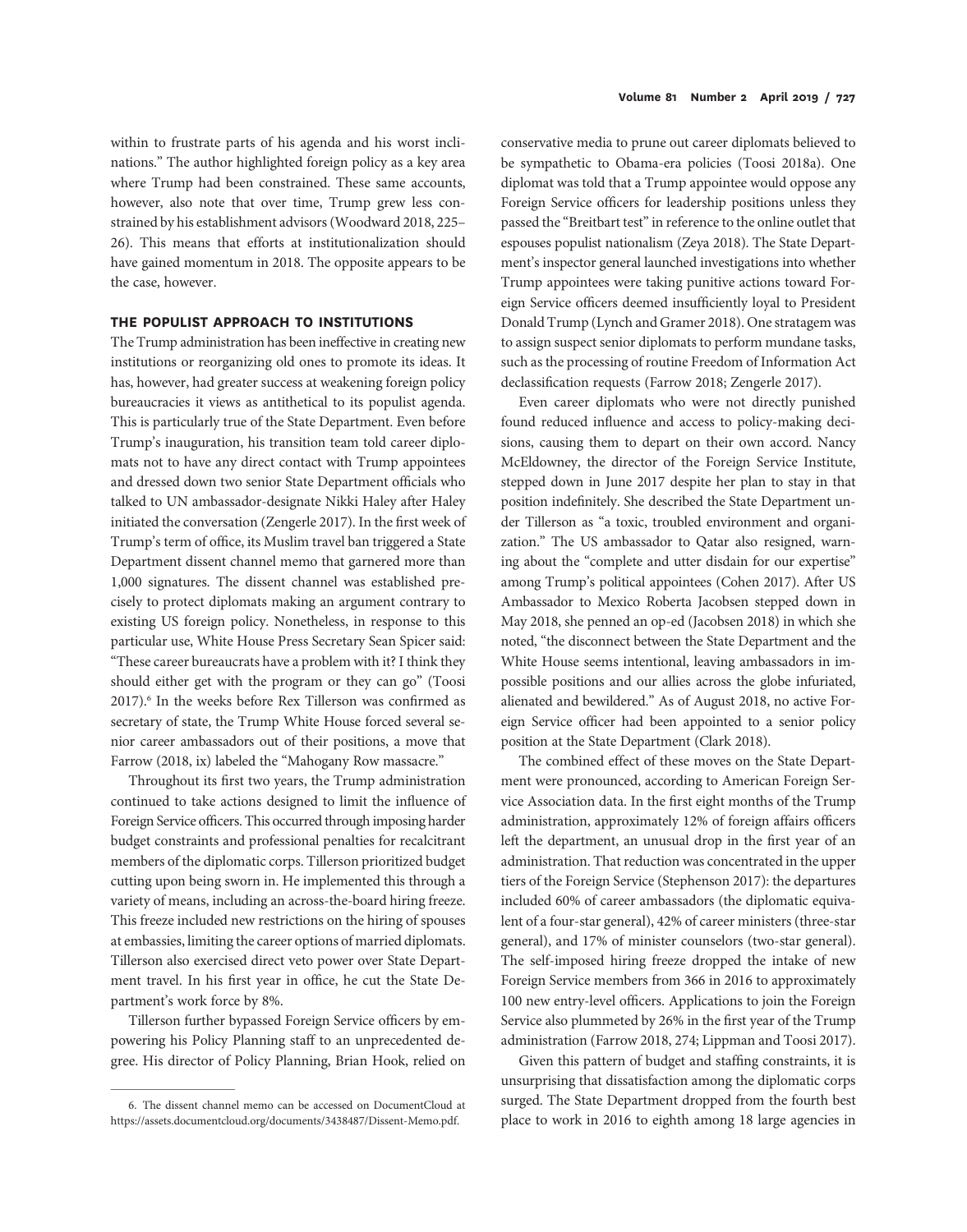however, also note that over time, Trump grew less constrained by his establishment advisors (Woodward 2018, 225– 26). This means that efforts at institutionalization should have gained momentum in 2018. The opposite appears to be the case, however.

### THE POPULIST APPROACH TO INSTITUTIONS

The Trump administration has been ineffective in creating new institutions or reorganizing old ones to promote its ideas. It has, however, had greater success at weakening foreign policy bureaucracies it views as antithetical to its populist agenda. This is particularly true of the State Department. Even before Trump's inauguration, his transition team told career diplomats not to have any direct contact with Trump appointees and dressed down two senior State Department officials who talked to UN ambassador-designate Nikki Haley after Haley initiated the conversation (Zengerle 2017). In the first week of Trump's term of office, its Muslim travel ban triggered a State Department dissent channel memo that garnered more than 1,000 signatures. The dissent channel was established precisely to protect diplomats making an argument contrary to existing US foreign policy. Nonetheless, in response to this particular use, White House Press Secretary Sean Spicer said: "These career bureaucrats have a problem with it? I think they should either get with the program or they can go" (Toosi 2017).<sup>6</sup> In the weeks before Rex Tillerson was confirmed as secretary of state, the Trump White House forced several senior career ambassadors out of their positions, a move that Farrow (2018, ix) labeled the "Mahogany Row massacre."

Throughout its first two years, the Trump administration continued to take actions designed to limit the influence of Foreign Service officers. This occurred through imposing harder budget constraints and professional penalties for recalcitrant members of the diplomatic corps. Tillerson prioritized budget cutting upon being sworn in. He implemented this through a variety of means, including an across-the-board hiring freeze. This freeze included new restrictions on the hiring of spouses at embassies, limiting the career options of married diplomats. Tillerson also exercised direct veto power over State Department travel. In his first year in office, he cut the State Department's work force by 8%.

Tillerson further bypassed Foreign Service officers by empowering his Policy Planning staff to an unprecedented degree. His director of Policy Planning, Brian Hook, relied on

conservative media to prune out career diplomats believed to be sympathetic to Obama-era policies (Toosi 2018a). One diplomat was told that a Trump appointee would oppose any Foreign Service officers for leadership positions unless they passed the "Breitbart test"in reference to the online outlet that espouses populist nationalism (Zeya 2018). The State Department's inspector general launched investigations into whether Trump appointees were taking punitive actions toward Foreign Service officers deemed insufficiently loyal to President Donald Trump (Lynch and Gramer 2018). One stratagem was to assign suspect senior diplomats to perform mundane tasks, such as the processing of routine Freedom of Information Act declassification requests (Farrow 2018; Zengerle 2017).

Even career diplomats who were not directly punished found reduced influence and access to policy-making decisions, causing them to depart on their own accord. Nancy McEldowney, the director of the Foreign Service Institute, stepped down in June 2017 despite her plan to stay in that position indefinitely. She described the State Department under Tillerson as "a toxic, troubled environment and organization." The US ambassador to Qatar also resigned, warning about the "complete and utter disdain for our expertise" among Trump's political appointees (Cohen 2017). After US Ambassador to Mexico Roberta Jacobsen stepped down in May 2018, she penned an op-ed (Jacobsen 2018) in which she noted, "the disconnect between the State Department and the White House seems intentional, leaving ambassadors in impossible positions and our allies across the globe infuriated, alienated and bewildered." As of August 2018, no active Foreign Service officer had been appointed to a senior policy position at the State Department (Clark 2018).

The combined effect of these moves on the State Department were pronounced, according to American Foreign Service Association data. In the first eight months of the Trump administration, approximately 12% of foreign affairs officers left the department, an unusual drop in the first year of an administration. That reduction was concentrated in the upper tiers of the Foreign Service (Stephenson 2017): the departures included 60% of career ambassadors (the diplomatic equivalent of a four-star general), 42% of career ministers (three-star general), and 17% of minister counselors (two-star general). The self-imposed hiring freeze dropped the intake of new Foreign Service members from 366 in 2016 to approximately 100 new entry-level officers. Applications to join the Foreign Service also plummeted by 26% in the first year of the Trump administration (Farrow 2018, 274; Lippman and Toosi 2017).

Given this pattern of budget and staffing constraints, it is unsurprising that dissatisfaction among the diplomatic corps surged. The State Department dropped from the fourth best place to work in 2016 to eighth among 18 large agencies in

<sup>6.</sup> The dissent channel memo can be accessed on DocumentCloud at https://assets.documentcloud.org/documents/3438487/Dissent-Memo.pdf.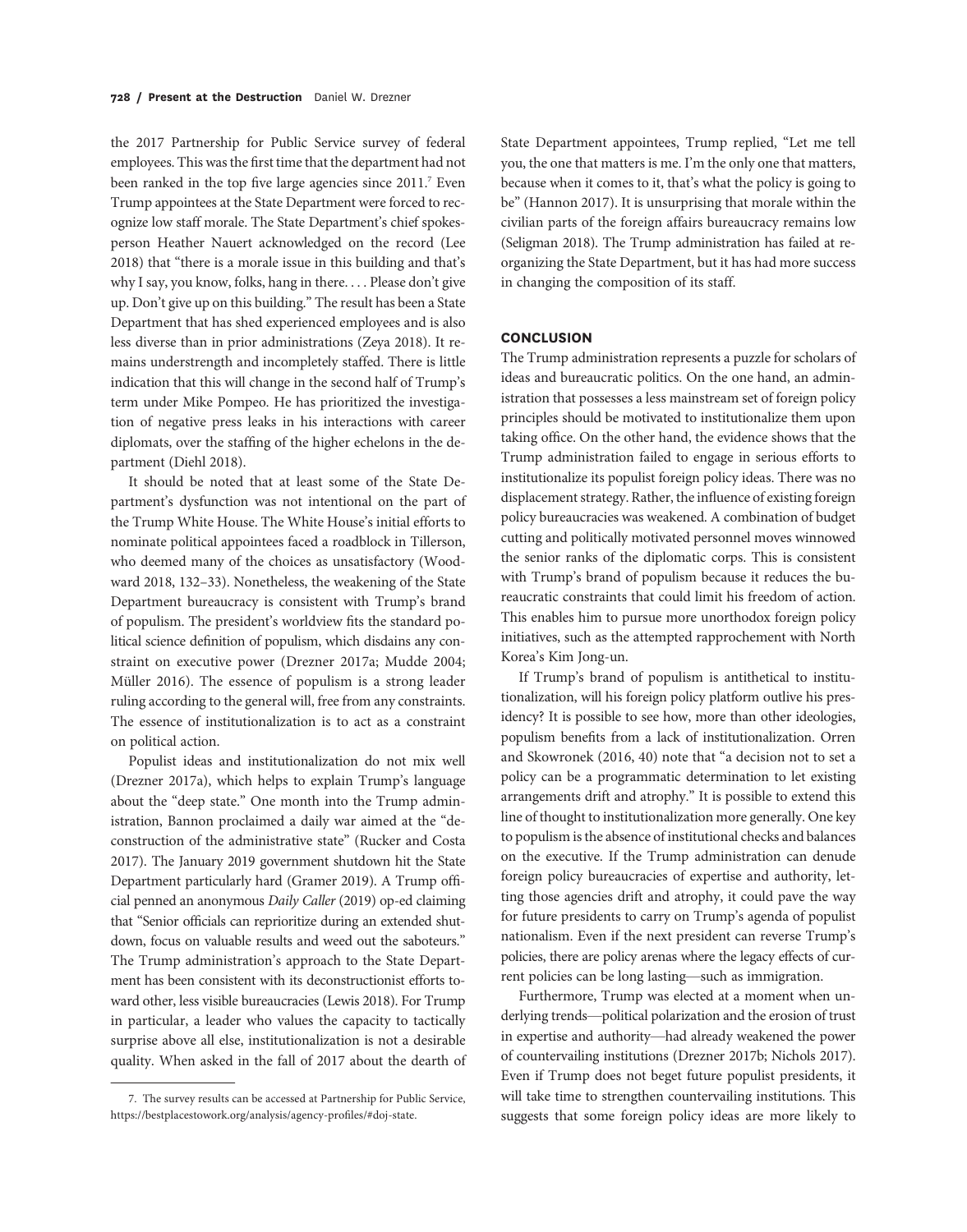the 2017 Partnership for Public Service survey of federal employees. This was the first time that the department had not been ranked in the top five large agencies since 2011.<sup>7</sup> Even Trump appointees at the State Department were forced to recognize low staff morale. The State Department's chief spokesperson Heather Nauert acknowledged on the record (Lee 2018) that "there is a morale issue in this building and that's why I say, you know, folks, hang in there. . . . Please don't give up. Don't give up on this building." The result has been a State Department that has shed experienced employees and is also less diverse than in prior administrations (Zeya 2018). It remains understrength and incompletely staffed. There is little indication that this will change in the second half of Trump's term under Mike Pompeo. He has prioritized the investigation of negative press leaks in his interactions with career diplomats, over the staffing of the higher echelons in the department (Diehl 2018).

It should be noted that at least some of the State Department's dysfunction was not intentional on the part of the Trump White House. The White House's initial efforts to nominate political appointees faced a roadblock in Tillerson, who deemed many of the choices as unsatisfactory (Woodward 2018, 132–33). Nonetheless, the weakening of the State Department bureaucracy is consistent with Trump's brand of populism. The president's worldview fits the standard political science definition of populism, which disdains any constraint on executive power (Drezner 2017a; Mudde 2004; Müller 2016). The essence of populism is a strong leader ruling according to the general will, free from any constraints. The essence of institutionalization is to act as a constraint on political action.

Populist ideas and institutionalization do not mix well (Drezner 2017a), which helps to explain Trump's language about the "deep state." One month into the Trump administration, Bannon proclaimed a daily war aimed at the "deconstruction of the administrative state" (Rucker and Costa 2017). The January 2019 government shutdown hit the State Department particularly hard (Gramer 2019). A Trump official penned an anonymous Daily Caller (2019) op-ed claiming that "Senior officials can reprioritize during an extended shutdown, focus on valuable results and weed out the saboteurs." The Trump administration's approach to the State Department has been consistent with its deconstructionist efforts toward other, less visible bureaucracies (Lewis 2018). For Trump in particular, a leader who values the capacity to tactically surprise above all else, institutionalization is not a desirable quality. When asked in the fall of 2017 about the dearth of

State Department appointees, Trump replied, "Let me tell you, the one that matters is me. I'm the only one that matters, because when it comes to it, that's what the policy is going to be" (Hannon 2017). It is unsurprising that morale within the civilian parts of the foreign affairs bureaucracy remains low (Seligman 2018). The Trump administration has failed at reorganizing the State Department, but it has had more success in changing the composition of its staff.

#### **CONCLUSION**

The Trump administration represents a puzzle for scholars of ideas and bureaucratic politics. On the one hand, an administration that possesses a less mainstream set of foreign policy principles should be motivated to institutionalize them upon taking office. On the other hand, the evidence shows that the Trump administration failed to engage in serious efforts to institutionalize its populist foreign policy ideas. There was no displacement strategy. Rather, the influence of existing foreign policy bureaucracies was weakened. A combination of budget cutting and politically motivated personnel moves winnowed the senior ranks of the diplomatic corps. This is consistent with Trump's brand of populism because it reduces the bureaucratic constraints that could limit his freedom of action. This enables him to pursue more unorthodox foreign policy initiatives, such as the attempted rapprochement with North Korea's Kim Jong-un.

If Trump's brand of populism is antithetical to institutionalization, will his foreign policy platform outlive his presidency? It is possible to see how, more than other ideologies, populism benefits from a lack of institutionalization. Orren and Skowronek (2016, 40) note that "a decision not to set a policy can be a programmatic determination to let existing arrangements drift and atrophy." It is possible to extend this line of thought to institutionalization more generally. One key to populism is the absence of institutional checks and balances on the executive. If the Trump administration can denude foreign policy bureaucracies of expertise and authority, letting those agencies drift and atrophy, it could pave the way for future presidents to carry on Trump's agenda of populist nationalism. Even if the next president can reverse Trump's policies, there are policy arenas where the legacy effects of current policies can be long lasting—such as immigration.

Furthermore, Trump was elected at a moment when underlying trends—political polarization and the erosion of trust in expertise and authority—had already weakened the power of countervailing institutions (Drezner 2017b; Nichols 2017). Even if Trump does not beget future populist presidents, it will take time to strengthen countervailing institutions. This suggests that some foreign policy ideas are more likely to

<sup>7.</sup> The survey results can be accessed at Partnership for Public Service, https://bestplacestowork.org/analysis/agency-profiles/#doj-state.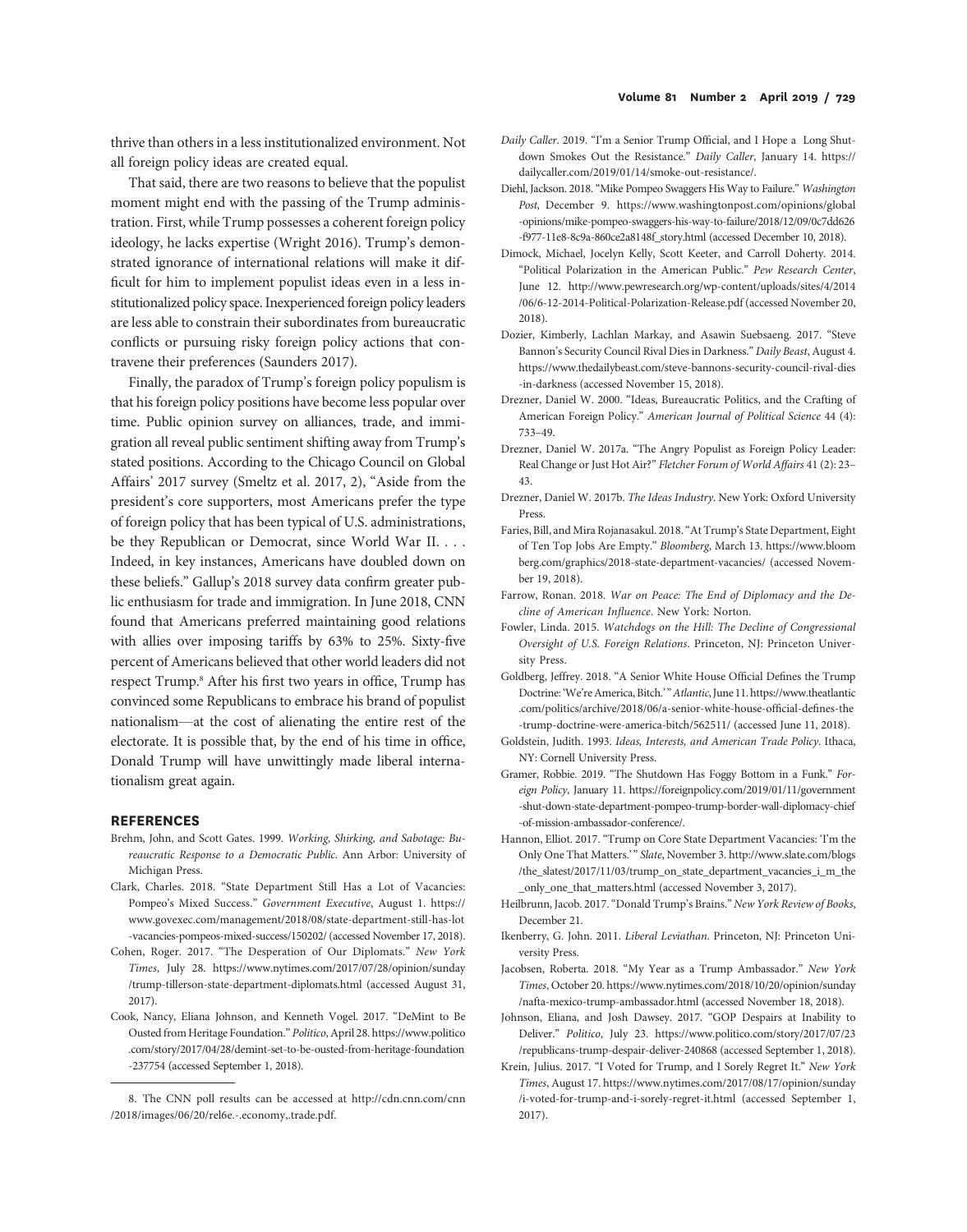thrive than others in a less institutionalized environment. Not all foreign policy ideas are created equal.

That said, there are two reasons to believe that the populist moment might end with the passing of the Trump administration. First, while Trump possesses a coherent foreign policy ideology, he lacks expertise (Wright 2016). Trump's demonstrated ignorance of international relations will make it difficult for him to implement populist ideas even in a less institutionalized policy space. Inexperienced foreign policy leaders are less able to constrain their subordinates from bureaucratic conflicts or pursuing risky foreign policy actions that contravene their preferences (Saunders 2017).

Finally, the paradox of Trump's foreign policy populism is that his foreign policy positions have become less popular over time. Public opinion survey on alliances, trade, and immigration all reveal public sentiment shifting away from Trump's stated positions. According to the Chicago Council on Global Affairs' 2017 survey (Smeltz et al. 2017, 2), "Aside from the president's core supporters, most Americans prefer the type of foreign policy that has been typical of U.S. administrations, be they Republican or Democrat, since World War II. . . . Indeed, in key instances, Americans have doubled down on these beliefs." Gallup's 2018 survey data confirm greater public enthusiasm for trade and immigration. In June 2018, CNN found that Americans preferred maintaining good relations with allies over imposing tariffs by 63% to 25%. Sixty-five percent of Americans believed that other world leaders did not respect Trump.<sup>8</sup> After his first two years in office, Trump has convinced some Republicans to embrace his brand of populist nationalism—at the cost of alienating the entire rest of the electorate. It is possible that, by the end of his time in office, Donald Trump will have unwittingly made liberal internationalism great again.

#### **REFERENCES**

- Brehm, John, and Scott Gates. 1999. Working, Shirking, and Sabotage: Bureaucratic Response to a Democratic Public. Ann Arbor: University of Michigan Press.
- Clark, Charles. 2018. "State Department Still Has a Lot of Vacancies: Pompeo's Mixed Success." Government Executive, August 1. https:// www.govexec.com/management/2018/08/state-department-still-has-lot -vacancies-pompeos-mixed-success/150202/ (accessed November 17, 2018).
- Cohen, Roger. 2017. "The Desperation of Our Diplomats." New York Times, July 28. https://www.nytimes.com/2017/07/28/opinion/sunday /trump-tillerson-state-department-diplomats.html (accessed August 31, 2017).
- Cook, Nancy, Eliana Johnson, and Kenneth Vogel. 2017. "DeMint to Be Ousted from Heritage Foundation." Politico, April 28. https://www.politico .com/story/2017/04/28/demint-set-to-be-ousted-from-heritage-foundation -237754 (accessed September 1, 2018).
- Daily Caller. 2019. "I'm a Senior Trump Official, and I Hope a Long Shutdown Smokes Out the Resistance." Daily Caller, January 14. https:// dailycaller.com/2019/01/14/smoke-out-resistance/.
- Diehl, Jackson. 2018."Mike Pompeo Swaggers His Way to Failure." Washington Post, December 9. https://www.washingtonpost.com/opinions/global -opinions/mike-pompeo-swaggers-his-way-to-failure/2018/12/09/0c7dd626 -f977-11e8-8c9a-860ce2a8148f\_story.html (accessed December 10, 2018).
- Dimock, Michael, Jocelyn Kelly, Scott Keeter, and Carroll Doherty. 2014. "Political Polarization in the American Public." Pew Research Center, June 12. http://www.pewresearch.org/wp-content/uploads/sites/4/2014 /06/6-12-2014-Political-Polarization-Release.pdf (accessed November 20, 2018).
- Dozier, Kimberly, Lachlan Markay, and Asawin Suebsaeng. 2017. "Steve Bannon's Security Council Rival Dies in Darkness." Daily Beast, August 4. https://www.thedailybeast.com/steve-bannons-security-council-rival-dies -in-darkness (accessed November 15, 2018).
- Drezner, Daniel W. 2000. "Ideas, Bureaucratic Politics, and the Crafting of American Foreign Policy." American Journal of Political Science 44 (4): 733–49.
- Drezner, Daniel W. 2017a. "The Angry Populist as Foreign Policy Leader: Real Change or Just Hot Air?" Fletcher Forum of World Affairs 41 (2): 23– 43.
- Drezner, Daniel W. 2017b. The Ideas Industry. New York: Oxford University Press.
- Faries, Bill, and Mira Rojanasakul. 2018."At Trump's State Department, Eight of Ten Top Jobs Are Empty." Bloomberg, March 13. https://www.bloom berg.com/graphics/2018-state-department-vacancies/ (accessed November 19, 2018).
- Farrow, Ronan. 2018. War on Peace: The End of Diplomacy and the Decline of American Influence. New York: Norton.
- Fowler, Linda. 2015. Watchdogs on the Hill: The Decline of Congressional Oversight of U.S. Foreign Relations. Princeton, NJ: Princeton University Press.
- Goldberg, Jeffrey. 2018. "A Senior White House Official Defines the Trump Doctrine: 'We're America, Bitch.'" Atlantic, June 11. https://www.theatlantic .com/politics/archive/2018/06/a-senior-white-house-official-defines-the -trump-doctrine-were-america-bitch/562511/ (accessed June 11, 2018).
- Goldstein, Judith. 1993. Ideas, Interests, and American Trade Policy. Ithaca, NY: Cornell University Press.
- Gramer, Robbie. 2019. "The Shutdown Has Foggy Bottom in a Funk." Foreign Policy, January 11. https://foreignpolicy.com/2019/01/11/government -shut-down-state-department-pompeo-trump-border-wall-diplomacy-chief -of-mission-ambassador-conference/.
- Hannon, Elliot. 2017. "Trump on Core State Department Vacancies: 'I'm the Only One That Matters.'" Slate, November 3. http://www.slate.com/blogs /the\_slatest/2017/11/03/trump\_on\_state\_department\_vacancies\_i\_m\_the \_only\_one\_that\_matters.html (accessed November 3, 2017).
- Heilbrunn, Jacob. 2017."Donald Trump's Brains."New York Review of Books, December 21.
- Ikenberry, G. John. 2011. Liberal Leviathan. Princeton, NJ: Princeton University Press.
- Jacobsen, Roberta. 2018. "My Year as a Trump Ambassador." New York Times, October 20. https://www.nytimes.com/2018/10/20/opinion/sunday /nafta-mexico-trump-ambassador.html (accessed November 18, 2018).
- Johnson, Eliana, and Josh Dawsey. 2017. "GOP Despairs at Inability to Deliver." Politico, July 23. https://www.politico.com/story/2017/07/23 /republicans-trump-despair-deliver-240868 (accessed September 1, 2018).
- Krein, Julius. 2017. "I Voted for Trump, and I Sorely Regret It." New York Times, August 17. https://www.nytimes.com/2017/08/17/opinion/sunday /i-voted-for-trump-and-i-sorely-regret-it.html (accessed September 1, 2017).

<sup>8.</sup> The CNN poll results can be accessed at http://cdn.cnn.com/cnn /2018/images/06/20/rel6e.-.economy,.trade.pdf.